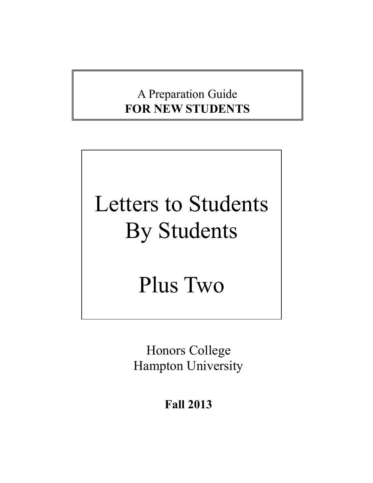# A Preparation Guide **FOR NEW STUDENTS**

# Letters to Students By Students

# Plus Two

Honors College Hampton University

**Fall 2013**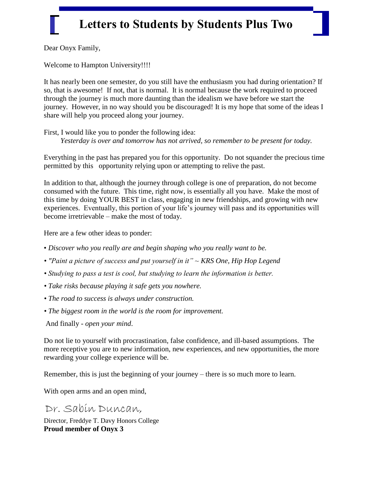Dear Onyx Family,

Welcome to Hampton University!!!!

It has nearly been one semester, do you still have the enthusiasm you had during orientation? If so, that is awesome! If not, that is normal. It is normal because the work required to proceed through the journey is much more daunting than the idealism we have before we start the journey. However, in no way should you be discouraged! It is my hope that some of the ideas I share will help you proceed along your journey.

First, I would like you to ponder the following idea: *Yesterday is over and tomorrow has not arrived, so remember to be present for today.*

Everything in the past has prepared you for this opportunity. Do not squander the precious time permitted by this opportunity relying upon or attempting to relive the past.

In addition to that, although the journey through college is one of preparation, do not become consumed with the future. This time, right now, is essentially all you have. Make the most of this time by doing YOUR BEST in class, engaging in new friendships, and growing with new experiences. Eventually, this portion of your life's journey will pass and its opportunities will become irretrievable – make the most of today.

Here are a few other ideas to ponder:

- *Discover who you really are and begin shaping who you really want to be.*
- *"Paint a picture of success and put yourself in it" ~ KRS One, Hip Hop Legend*
- *Studying to pass a test is cool, but studying to learn the information is better.*
- *Take risks because playing it safe gets you nowhere.*
- *The road to success is always under construction.*
- *The biggest room in the world is the room for improvement.*
- And finally *open your mind*.

Do not lie to yourself with procrastination, false confidence, and ill-based assumptions. The more receptive you are to new information, new experiences, and new opportunities, the more rewarding your college experience will be.

Remember, this is just the beginning of your journey – there is so much more to learn.

With open arms and an open mind,

Dr. Sabin Duncan,

Director, Freddye T. Davy Honors College **Proud member of Onyx 3**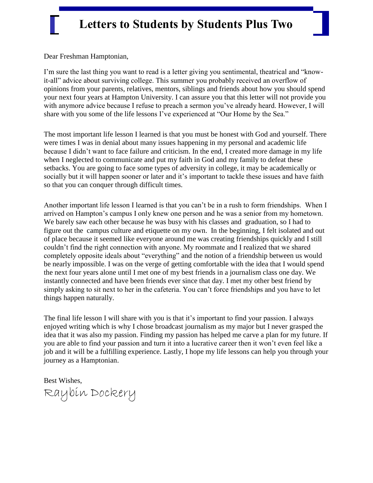Dear Freshman Hamptonian,

I'm sure the last thing you want to read is a letter giving you sentimental, theatrical and "knowit-all" advice about surviving college. This summer you probably received an overflow of opinions from your parents, relatives, mentors, siblings and friends about how you should spend your next four years at Hampton University. I can assure you that this letter will not provide you with anymore advice because I refuse to preach a sermon you've already heard. However, I will share with you some of the life lessons I've experienced at "Our Home by the Sea."

The most important life lesson I learned is that you must be honest with God and yourself. There were times I was in denial about many issues happening in my personal and academic life because I didn't want to face failure and criticism. In the end, I created more damage in my life when I neglected to communicate and put my faith in God and my family to defeat these setbacks. You are going to face some types of adversity in college, it may be academically or socially but it will happen sooner or later and it's important to tackle these issues and have faith so that you can conquer through difficult times.

Another important life lesson I learned is that you can't be in a rush to form friendships. When I arrived on Hampton's campus I only knew one person and he was a senior from my hometown. We barely saw each other because he was busy with his classes and graduation, so I had to figure out the campus culture and etiquette on my own. In the beginning, I felt isolated and out of place because it seemed like everyone around me was creating friendships quickly and I still couldn't find the right connection with anyone. My roommate and I realized that we shared completely opposite ideals about "everything" and the notion of a friendship between us would be nearly impossible. I was on the verge of getting comfortable with the idea that I would spend the next four years alone until I met one of my best friends in a journalism class one day. We instantly connected and have been friends ever since that day. I met my other best friend by simply asking to sit next to her in the cafeteria. You can't force friendships and you have to let things happen naturally.

The final life lesson I will share with you is that it's important to find your passion. I always enjoyed writing which is why I chose broadcast journalism as my major but I never grasped the idea that it was also my passion. Finding my passion has helped me carve a plan for my future. If you are able to find your passion and turn it into a lucrative career then it won't even feel like a job and it will be a fulfilling experience. Lastly, I hope my life lessons can help you through your journey as a Hamptonian.

Best Wishes, Raybin Dockery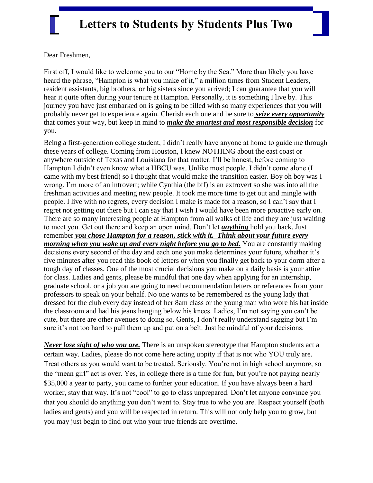Dear Freshmen,

First off, I would like to welcome you to our "Home by the Sea." More than likely you have heard the phrase, "Hampton is what you make of it," a million times from Student Leaders, resident assistants, big brothers, or big sisters since you arrived; I can guarantee that you will hear it quite often during your tenure at Hampton. Personally, it is something I live by. This journey you have just embarked on is going to be filled with so many experiences that you will probably never get to experience again. Cherish each one and be sure to *seize every opportunity* that comes your way, but keep in mind to *make the smartest and most responsible decision* for you.

Being a first-generation college student, I didn't really have anyone at home to guide me through these years of college. Coming from Houston, I knew NOTHING about the east coast or anywhere outside of Texas and Louisiana for that matter. I'll be honest, before coming to Hampton I didn't even know what a HBCU was. Unlike most people, I didn't come alone (I came with my best friend) so I thought that would make the transition easier. Boy oh boy was I wrong. I'm more of an introvert; while Cynthia (the bff) is an extrovert so she was into all the freshman activities and meeting new people. It took me more time to get out and mingle with people. I live with no regrets, every decision I make is made for a reason, so I can't say that I regret not getting out there but I can say that I wish I would have been more proactive early on. There are so many interesting people at Hampton from all walks of life and they are just waiting to meet you. Get out there and keep an open mind. Don't let *anything* hold you back. Just remember *you chose Hampton for a reason, stick with it. Think about your future every morning when you wake up and every night before you go to bed.* You are constantly making decisions every second of the day and each one you make determines your future, whether it's five minutes after you read this book of letters or when you finally get back to your dorm after a tough day of classes. One of the most crucial decisions you make on a daily basis is your attire for class. Ladies and gents, please be mindful that one day when applying for an internship, graduate school, or a job you are going to need recommendation letters or references from your professors to speak on your behalf. No one wants to be remembered as the young lady that dressed for the club every day instead of her 8am class or the young man who wore his hat inside the classroom and had his jeans hanging below his knees. Ladies, I'm not saying you can't be cute, but there are other avenues to doing so. Gents, I don't really understand sagging but I'm sure it's not too hard to pull them up and put on a belt. Just be mindful of your decisions.

*Never lose sight of who you are.* There is an unspoken stereotype that Hampton students act a certain way. Ladies, please do not come here acting uppity if that is not who YOU truly are. Treat others as you would want to be treated. Seriously. You're not in high school anymore, so the "mean girl" act is over. Yes, in college there is a time for fun, but you're not paying nearly \$35,000 a year to party, you came to further your education. If you have always been a hard worker, stay that way. It's not "cool" to go to class unprepared. Don't let anyone convince you that you should do anything you don't want to. Stay true to who you are. Respect yourself (both ladies and gents) and you will be respected in return. This will not only help you to grow, but you may just begin to find out who your true friends are overtime.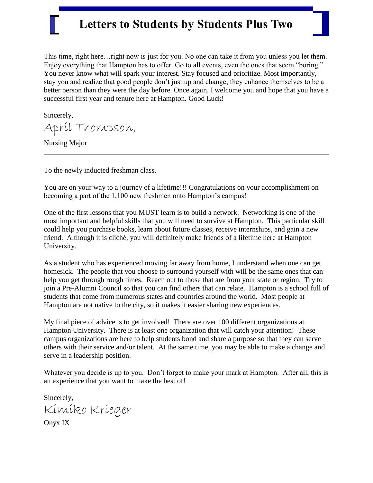This time, right here…right now is just for you. No one can take it from you unless you let them. Enjoy everything that Hampton has to offer. Go to all events, even the ones that seem "boring." You never know what will spark your interest. Stay focused and prioritize. Most importantly, stay you and realize that good people don't just up and change; they enhance themselves to be a better person than they were the day before. Once again, I welcome you and hope that you have a successful first year and tenure here at Hampton. Good Luck!

Sincerely,

April Thompson,

Nursing Major

To the newly inducted freshman class,

You are on your way to a journey of a lifetime!!! Congratulations on your accomplishment on becoming a part of the 1,100 new freshmen onto Hampton's campus!

One of the first lessons that you MUST learn is to build a network. Networking is one of the most important and helpful skills that you will need to survive at Hampton. This particular skill could help you purchase books, learn about future classes, receive internships, and gain a new friend. Although it is cliché, you will definitely make friends of a lifetime here at Hampton University.

As a student who has experienced moving far away from home, I understand when one can get homesick. The people that you choose to surround yourself with will be the same ones that can help you get through rough times. Reach out to those that are from your state or region. Try to join a Pre-Alumni Council so that you can find others that can relate. Hampton is a school full of students that come from numerous states and countries around the world. Most people at Hampton are not native to the city, so it makes it easier sharing new experiences.

My final piece of advice is to get involved! There are over 100 different organizations at Hampton University. There is at least one organization that will catch your attention! These campus organizations are here to help students bond and share a purpose so that they can serve others with their service and/or talent. At the same time, you may be able to make a change and serve in a leadership position.

Whatever you decide is up to you. Don't forget to make your mark at Hampton. After all, this is an experience that you want to make the best of!

Sincerely, Kimiko Krieger

Onyx IX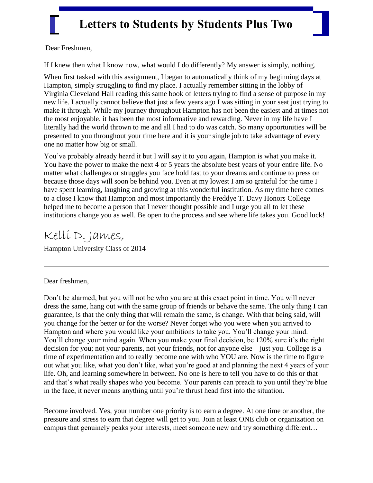Dear Freshmen,

If I knew then what I know now, what would I do differently? My answer is simply, nothing.

When first tasked with this assignment, I began to automatically think of my beginning days at Hampton, simply struggling to find my place. I actually remember sitting in the lobby of Virginia Cleveland Hall reading this same book of letters trying to find a sense of purpose in my new life. I actually cannot believe that just a few years ago I was sitting in your seat just trying to make it through. While my journey throughout Hampton has not been the easiest and at times not the most enjoyable, it has been the most informative and rewarding. Never in my life have I literally had the world thrown to me and all I had to do was catch. So many opportunities will be presented to you throughout your time here and it is your single job to take advantage of every one no matter how big or small.

You've probably already heard it but I will say it to you again, Hampton is what you make it. You have the power to make the next 4 or 5 years the absolute best years of your entire life. No matter what challenges or struggles you face hold fast to your dreams and continue to press on because those days will soon be behind you. Even at my lowest I am so grateful for the time I have spent learning, laughing and growing at this wonderful institution. As my time here comes to a close I know that Hampton and most importantly the Freddye T. Davy Honors College helped me to become a person that I never thought possible and I urge you all to let these institutions change you as well. Be open to the process and see where life takes you. Good luck!

Kelli D. James, Hampton University Class of 2014

Dear freshmen,

Don't be alarmed, but you will not be who you are at this exact point in time. You will never dress the same, hang out with the same group of friends or behave the same. The only thing I can guarantee, is that the only thing that will remain the same, is change. With that being said, will you change for the better or for the worse? Never forget who you were when you arrived to Hampton and where you would like your ambitions to take you. You'll change your mind. You'll change your mind again. When you make your final decision, be 120% sure it's the right decision for you; not your parents, not your friends, not for anyone else—just you. College is a time of experimentation and to really become one with who YOU are. Now is the time to figure out what you like, what you don't like, what you're good at and planning the next 4 years of your life. Oh, and learning somewhere in between. No one is here to tell you have to do this or that and that's what really shapes who you become. Your parents can preach to you until they're blue in the face, it never means anything until you're thrust head first into the situation.

Become involved. Yes, your number one priority is to earn a degree. At one time or another, the pressure and stress to earn that degree will get to you. Join at least ONE club or organization on campus that genuinely peaks your interests, meet someone new and try something different…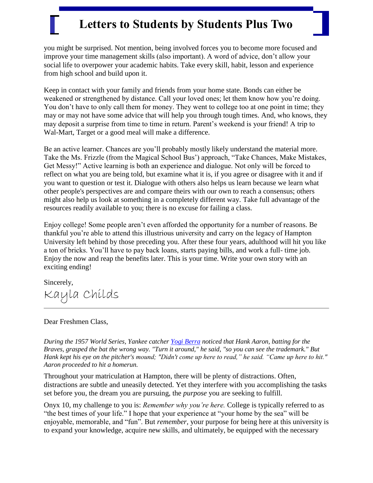you might be surprised. Not mention, being involved forces you to become more focused and improve your time management skills (also important). A word of advice, don't allow your social life to overpower your academic habits. Take every skill, habit, lesson and experience from high school and build upon it.

Keep in contact with your family and friends from your home state. Bonds can either be weakened or strengthened by distance. Call your loved ones; let them know how you're doing. You don't have to only call them for money. They went to college too at one point in time; they may or may not have some advice that will help you through tough times. And, who knows, they may deposit a surprise from time to time in return. Parent's weekend is your friend! A trip to Wal-Mart, Target or a good meal will make a difference.

Be an active learner. Chances are you'll probably mostly likely understand the material more. Take the Ms. Frizzle (from the Magical School Bus') approach, "Take Chances, Make Mistakes, Get Messy!‖ Active learning is both an experience and dialogue. Not only will be forced to reflect on what you are being told, but examine what it is, if you agree or disagree with it and if you want to question or test it. Dialogue with others also helps us learn because we learn what other people's perspectives are and compare theirs with our own to reach a consensus; others might also help us look at something in a completely different way. Take full advantage of the resources readily available to you; there is no excuse for failing a class.

Enjoy college! Some people aren't even afforded the opportunity for a number of reasons. Be thankful you're able to attend this illustrious university and carry on the legacy of Hampton University left behind by those preceding you. After these four years, adulthood will hit you like a ton of bricks. You'll have to pay back loans, starts paying bills, and work a full- time job. Enjoy the now and reap the benefits later. This is your time. Write your own story with an exciting ending!

Sincerely, Kayla Childs

#### Dear Freshmen Class,

*During the 1957 World Series, Yankee catcher [Yogi Berra](http://pawprints.kashalinka.com/anecdotes/berra.shtml) noticed that Hank Aaron, batting for the Braves, grasped the bat the wrong way. "Turn it around," he said, "so you can see the trademark." But Hank kept his eye on the pitcher's mound; "Didn't come up here to read," he said. "Came up here to hit." Aaron proceeded to hit a homerun.*

Throughout your matriculation at Hampton, there will be plenty of distractions. Often, distractions are subtle and uneasily detected. Yet they interfere with you accomplishing the tasks set before you, the dream you are pursuing, the *purpose* you are seeking to fulfill.

Onyx 10, my challenge to you is: *Remember why you're here.* College is typically referred to as "the best times of your life." I hope that your experience at "your home by the sea" will be enjoyable, memorable, and "fun". But *remember*, your purpose for being here at this university is to expand your knowledge, acquire new skills, and ultimately, be equipped with the necessary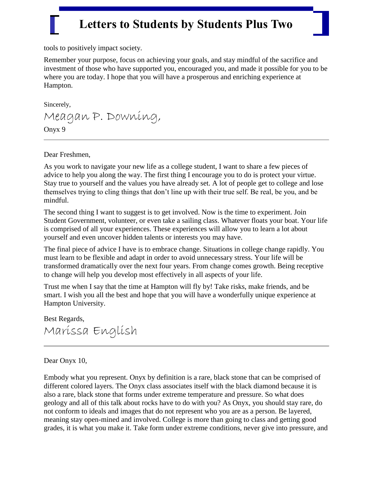tools to positively impact society.

Remember your purpose, focus on achieving your goals, and stay mindful of the sacrifice and investment of those who have supported you, encouraged you, and made it possible for you to be where you are today. I hope that you will have a prosperous and enriching experience at Hampton.

Sincerely,

Meagan P. Downing, Onyx 9

Dear Freshmen,

As you work to navigate your new life as a college student, I want to share a few pieces of advice to help you along the way. The first thing I encourage you to do is protect your virtue. Stay true to yourself and the values you have already set. A lot of people get to college and lose themselves trying to cling things that don't line up with their true self. Be real, be you, and be mindful.

The second thing I want to suggest is to get involved. Now is the time to experiment. Join Student Government, volunteer, or even take a sailing class. Whatever floats your boat. Your life is comprised of all your experiences. These experiences will allow you to learn a lot about yourself and even uncover hidden talents or interests you may have.

The final piece of advice I have is to embrace change. Situations in college change rapidly. You must learn to be flexible and adapt in order to avoid unnecessary stress. Your life will be transformed dramatically over the next four years. From change comes growth. Being receptive to change will help you develop most effectively in all aspects of your life.

Trust me when I say that the time at Hampton will fly by! Take risks, make friends, and be smart. I wish you all the best and hope that you will have a wonderfully unique experience at Hampton University.

Best Regards, Marissa English

#### Dear Onyx 10,

Embody what you represent. Onyx by definition is a rare, black stone that can be comprised of different colored layers. The Onyx class associates itself with the black diamond because it is also a rare, black stone that forms under extreme temperature and pressure. So what does geology and all of this talk about rocks have to do with you? As Onyx, you should stay rare, do not conform to ideals and images that do not represent who you are as a person. Be layered, meaning stay open-mined and involved. College is more than going to class and getting good grades, it is what you make it. Take form under extreme conditions, never give into pressure, and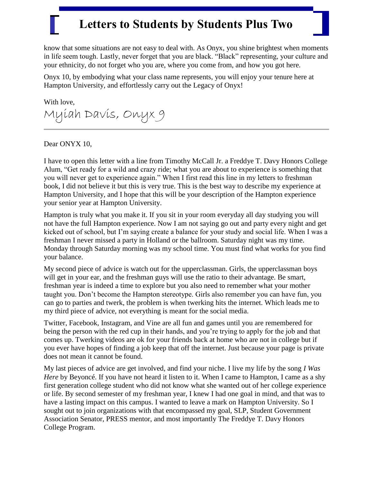know that some situations are not easy to deal with. As Onyx, you shine brightest when moments in life seem tough. Lastly, never forget that you are black. "Black" representing, your culture and your ethnicity, do not forget who you are, where you come from, and how you got here.

Onyx 10, by embodying what your class name represents, you will enjoy your tenure here at Hampton University, and effortlessly carry out the Legacy of Onyx!

With love, Myiah Davis, Onyx 9

Dear ONYX 10,

I have to open this letter with a line from Timothy McCall Jr. a Freddye T. Davy Honors College Alum, "Get ready for a wild and crazy ride; what you are about to experience is something that you will never get to experience again." When I first read this line in my letters to freshman book, I did not believe it but this is very true. This is the best way to describe my experience at Hampton University, and I hope that this will be your description of the Hampton experience your senior year at Hampton University.

Hampton is truly what you make it. If you sit in your room everyday all day studying you will not have the full Hampton experience. Now I am not saying go out and party every night and get kicked out of school, but I'm saying create a balance for your study and social life. When I was a freshman I never missed a party in Holland or the ballroom. Saturday night was my time. Monday through Saturday morning was my school time. You must find what works for you find your balance.

My second piece of advice is watch out for the upperclassman. Girls, the upperclassman boys will get in your ear, and the freshman guys will use the ratio to their advantage. Be smart, freshman year is indeed a time to explore but you also need to remember what your mother taught you. Don't become the Hampton stereotype. Girls also remember you can have fun, you can go to parties and twerk, the problem is when twerking hits the internet. Which leads me to my third piece of advice, not everything is meant for the social media.

Twitter, Facebook, Instagram, and Vine are all fun and games until you are remembered for being the person with the red cup in their hands, and you're trying to apply for the job and that comes up. Twerking videos are ok for your friends back at home who are not in college but if you ever have hopes of finding a job keep that off the internet. Just because your page is private does not mean it cannot be found.

My last pieces of advice are get involved, and find your niche. I live my life by the song *I Was Here* by Beyoncé. If you have not heard it listen to it. When I came to Hampton, I came as a shy first generation college student who did not know what she wanted out of her college experience or life. By second semester of my freshman year, I knew I had one goal in mind, and that was to have a lasting impact on this campus. I wanted to leave a mark on Hampton University. So I sought out to join organizations with that encompassed my goal, SLP, Student Government Association Senator, PRESS mentor, and most importantly The Freddye T. Davy Honors College Program.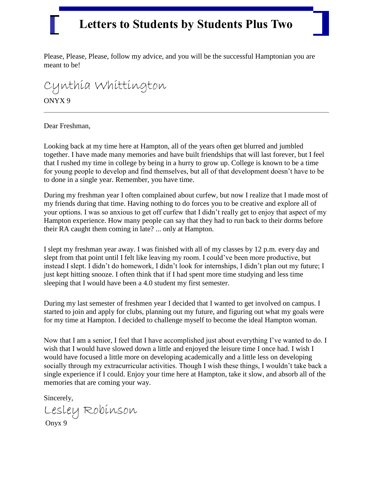Please, Please, Please, follow my advice, and you will be the successful Hamptonian you are meant to be!

#### Cynthia Whittington ONYX 9

Dear Freshman,

Looking back at my time here at Hampton, all of the years often get blurred and jumbled together. I have made many memories and have built friendships that will last forever, but I feel that I rushed my time in college by being in a hurry to grow up. College is known to be a time for young people to develop and find themselves, but all of that development doesn't have to be to done in a single year. Remember, you have time.

During my freshman year I often complained about curfew, but now I realize that I made most of my friends during that time. Having nothing to do forces you to be creative and explore all of your options. I was so anxious to get off curfew that I didn't really get to enjoy that aspect of my Hampton experience. How many people can say that they had to run back to their dorms before their RA caught them coming in late? ... only at Hampton.

I slept my freshman year away. I was finished with all of my classes by 12 p.m. every day and slept from that point until I felt like leaving my room. I could've been more productive, but instead I slept. I didn't do homework, I didn't look for internships, I didn't plan out my future; I just kept hitting snooze. I often think that if I had spent more time studying and less time sleeping that I would have been a 4.0 student my first semester.

During my last semester of freshmen year I decided that I wanted to get involved on campus. I started to join and apply for clubs, planning out my future, and figuring out what my goals were for my time at Hampton. I decided to challenge myself to become the ideal Hampton woman.

Now that I am a senior, I feel that I have accomplished just about everything I've wanted to do. I wish that I would have slowed down a little and enjoyed the leisure time I once had. I wish I would have focused a little more on developing academically and a little less on developing socially through my extracurricular activities. Though I wish these things, I wouldn't take back a single experience if I could. Enjoy your time here at Hampton, take it slow, and absorb all of the memories that are coming your way.

Sincerely,

Lesley Robinson Onyx 9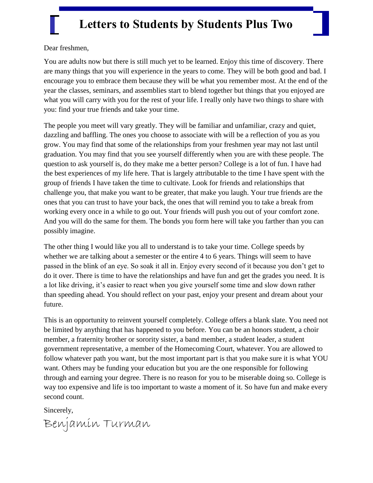Dear freshmen,

You are adults now but there is still much yet to be learned. Enjoy this time of discovery. There are many things that you will experience in the years to come. They will be both good and bad. I encourage you to embrace them because they will be what you remember most. At the end of the year the classes, seminars, and assemblies start to blend together but things that you enjoyed are what you will carry with you for the rest of your life. I really only have two things to share with you: find your true friends and take your time.

The people you meet will vary greatly. They will be familiar and unfamiliar, crazy and quiet, dazzling and baffling. The ones you choose to associate with will be a reflection of you as you grow. You may find that some of the relationships from your freshmen year may not last until graduation. You may find that you see yourself differently when you are with these people. The question to ask yourself is, do they make me a better person? College is a lot of fun. I have had the best experiences of my life here. That is largely attributable to the time I have spent with the group of friends I have taken the time to cultivate. Look for friends and relationships that challenge you, that make you want to be greater, that make you laugh. Your true friends are the ones that you can trust to have your back, the ones that will remind you to take a break from working every once in a while to go out. Your friends will push you out of your comfort zone. And you will do the same for them. The bonds you form here will take you farther than you can possibly imagine.

The other thing I would like you all to understand is to take your time. College speeds by whether we are talking about a semester or the entire 4 to 6 years. Things will seem to have passed in the blink of an eye. So soak it all in. Enjoy every second of it because you don't get to do it over. There is time to have the relationships and have fun and get the grades you need. It is a lot like driving, it's easier to react when you give yourself some time and slow down rather than speeding ahead. You should reflect on your past, enjoy your present and dream about your future.

This is an opportunity to reinvent yourself completely. College offers a blank slate. You need not be limited by anything that has happened to you before. You can be an honors student, a choir member, a fraternity brother or sorority sister, a band member, a student leader, a student government representative, a member of the Homecoming Court, whatever. You are allowed to follow whatever path you want, but the most important part is that you make sure it is what YOU want. Others may be funding your education but you are the one responsible for following through and earning your degree. There is no reason for you to be miserable doing so. College is way too expensive and life is too important to waste a moment of it. So have fun and make every second count.

Sincerely,

Benjamin Turman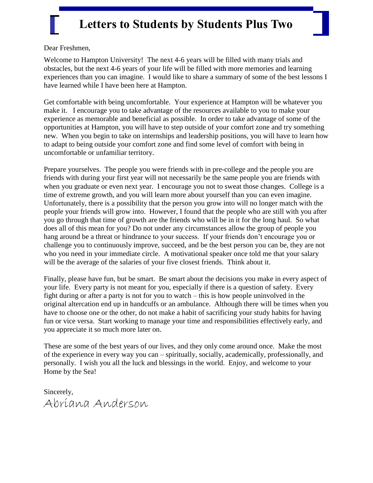Dear Freshmen,

Welcome to Hampton University! The next 4-6 years will be filled with many trials and obstacles, but the next 4-6 years of your life will be filled with more memories and learning experiences than you can imagine. I would like to share a summary of some of the best lessons I have learned while I have been here at Hampton.

Get comfortable with being uncomfortable. Your experience at Hampton will be whatever you make it. I encourage you to take advantage of the resources available to you to make your experience as memorable and beneficial as possible. In order to take advantage of some of the opportunities at Hampton, you will have to step outside of your comfort zone and try something new. When you begin to take on internships and leadership positions, you will have to learn how to adapt to being outside your comfort zone and find some level of comfort with being in uncomfortable or unfamiliar territory.

Prepare yourselves. The people you were friends with in pre-college and the people you are friends with during your first year will not necessarily be the same people you are friends with when you graduate or even next year. I encourage you not to sweat those changes. College is a time of extreme growth, and you will learn more about yourself than you can even imagine. Unfortunately, there is a possibility that the person you grow into will no longer match with the people your friends will grow into. However, I found that the people who are still with you after you go through that time of growth are the friends who will be in it for the long haul. So what does all of this mean for you? Do not under any circumstances allow the group of people you hang around be a threat or hindrance to your success. If your friends don't encourage you or challenge you to continuously improve, succeed, and be the best person you can be, they are not who you need in your immediate circle. A motivational speaker once told me that your salary will be the average of the salaries of your five closest friends. Think about it.

Finally, please have fun, but be smart. Be smart about the decisions you make in every aspect of your life. Every party is not meant for you, especially if there is a question of safety. Every fight during or after a party is not for you to watch – this is how people uninvolved in the original altercation end up in handcuffs or an ambulance. Although there will be times when you have to choose one or the other, do not make a habit of sacrificing your study habits for having fun or vice versa. Start working to manage your time and responsibilities effectively early, and you appreciate it so much more later on.

These are some of the best years of our lives, and they only come around once. Make the most of the experience in every way you can – spiritually, socially, academically, professionally, and personally. I wish you all the luck and blessings in the world. Enjoy, and welcome to your Home by the Sea!

Sincerely, Abriana Anderson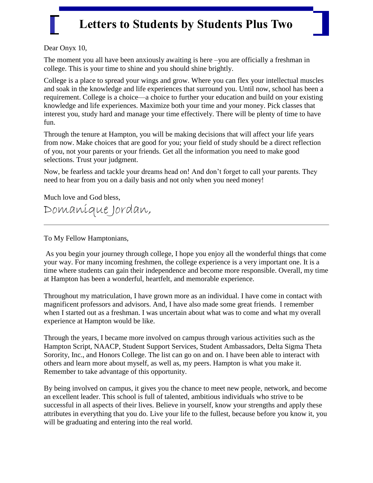Dear Onyx 10,

The moment you all have been anxiously awaiting is here –you are officially a freshman in college. This is your time to shine and you should shine brightly.

College is a place to spread your wings and grow. Where you can flex your intellectual muscles and soak in the knowledge and life experiences that surround you. Until now, school has been a requirement. College is a choice—a choice to further your education and build on your existing knowledge and life experiences. Maximize both your time and your money. Pick classes that interest you, study hard and manage your time effectively. There will be plenty of time to have fun.

Through the tenure at Hampton, you will be making decisions that will affect your life years from now. Make choices that are good for you; your field of study should be a direct reflection of you, not your parents or your friends. Get all the information you need to make good selections. Trust your judgment.

Now, be fearless and tackle your dreams head on! And don't forget to call your parents. They need to hear from you on a daily basis and not only when you need money!

Much love and God bless,

Domanique Jordan,

To My Fellow Hamptonians,

As you begin your journey through college, I hope you enjoy all the wonderful things that come your way. For many incoming freshmen, the college experience is a very important one. It is a time where students can gain their independence and become more responsible. Overall, my time at Hampton has been a wonderful, heartfelt, and memorable experience.

Throughout my matriculation, I have grown more as an individual. I have come in contact with magnificent professors and advisors. And, I have also made some great friends. I remember when I started out as a freshman. I was uncertain about what was to come and what my overall experience at Hampton would be like.

Through the years, I became more involved on campus through various activities such as the Hampton Script, NAACP, Student Support Services, Student Ambassadors, Delta Sigma Theta Sorority, Inc., and Honors College. The list can go on and on. I have been able to interact with others and learn more about myself, as well as, my peers. Hampton is what you make it. Remember to take advantage of this opportunity.

By being involved on campus, it gives you the chance to meet new people, network, and become an excellent leader. This school is full of talented, ambitious individuals who strive to be successful in all aspects of their lives. Believe in yourself, know your strengths and apply these attributes in everything that you do. Live your life to the fullest, because before you know it, you will be graduating and entering into the real world.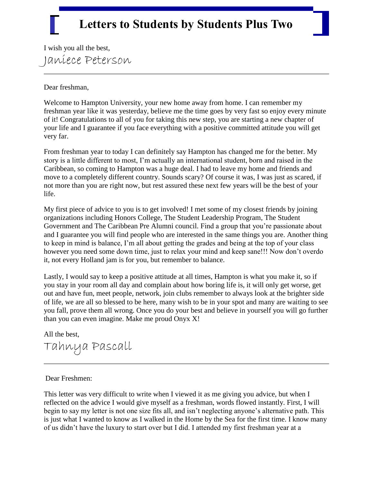I wish you all the best, Janiece Peterson

Dear freshman,

Welcome to Hampton University, your new home away from home. I can remember my freshman year like it was yesterday, believe me the time goes by very fast so enjoy every minute of it! Congratulations to all of you for taking this new step, you are starting a new chapter of your life and I guarantee if you face everything with a positive committed attitude you will get very far.

From freshman year to today I can definitely say Hampton has changed me for the better. My story is a little different to most, I'm actually an international student, born and raised in the Caribbean, so coming to Hampton was a huge deal. I had to leave my home and friends and move to a completely different country. Sounds scary? Of course it was, I was just as scared, if not more than you are right now, but rest assured these next few years will be the best of your life.

My first piece of advice to you is to get involved! I met some of my closest friends by joining organizations including Honors College, The Student Leadership Program, The Student Government and The Caribbean Pre Alumni council. Find a group that you're passionate about and I guarantee you will find people who are interested in the same things you are. Another thing to keep in mind is balance, I'm all about getting the grades and being at the top of your class however you need some down time, just to relax your mind and keep sane!!! Now don't overdo it, not every Holland jam is for you, but remember to balance.

Lastly, I would say to keep a positive attitude at all times, Hampton is what you make it, so if you stay in your room all day and complain about how boring life is, it will only get worse, get out and have fun, meet people, network, join clubs remember to always look at the brighter side of life, we are all so blessed to be here, many wish to be in your spot and many are waiting to see you fall, prove them all wrong. Once you do your best and believe in yourself you will go further than you can even imagine. Make me proud Onyx X!

All the best, Tahnya Pascall

#### Dear Freshmen:

This letter was very difficult to write when I viewed it as me giving you advice, but when I reflected on the advice I would give myself as a freshman, words flowed instantly. First, I will begin to say my letter is not one size fits all, and isn't neglecting anyone's alternative path. This is just what I wanted to know as I walked in the Home by the Sea for the first time. I know many of us didn't have the luxury to start over but I did. I attended my first freshman year at a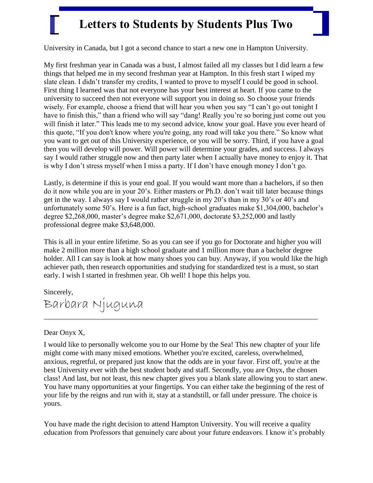University in Canada, but I got a second chance to start a new one in Hampton University.

My first freshman year in Canada was a bust, I almost failed all my classes but I did learn a few things that helped me in my second freshman year at Hampton. In this fresh start I wiped my slate clean. I didn't transfer my credits, I wanted to prove to myself I could be good in school. First thing I learned was that not everyone has your best interest at heart. If you came to the university to succeed then not everyone will support you in doing so. So choose your friends wisely. For example, choose a friend that will hear you when you say "I can't go out tonight I have to finish this," than a friend who will say "dang! Really you're so boring just come out you will finish it later." This leads me to my second advice, know your goal. Have you ever heard of this quote, "If you don't know where you're going, any road will take you there." So know what you want to get out of this University experience, or you will be sorry. Third, if you have a goal then you will develop will power. Will power will determine your grades, and success. I always say I would rather struggle now and then party later when I actually have money to enjoy it. That is why I don't stress myself when I miss a party. If I don't have enough money I don't go.

Lastly, is determine if this is your end goal. If you would want more than a bachelors, if so then do it now while you are in your 20's. Either masters or Ph.D. don't wait till later because things get in the way. I always say I would rather struggle in my 20's than in my 30's or 40's and unfortunately some 50's. Here is a fun fact, high-school graduates make \$1,304,000, bachelor's degree \$2,268,000, master's degree make \$2,671,000, doctorate \$3,252,000 and lastly professional degree make \$3,648,000.

This is all in your entire lifetime. So as you can see if you go for Doctorate and higher you will make 2 million more than a high school graduate and 1 million more than a bachelor degree holder. All I can say is look at how many shoes you can buy. Anyway, if you would like the high achiever path, then research opportunities and studying for standardized test is a must, so start early. I wish I started in freshmen year. Oh well! I hope this helps you.

Sincerely, Barbara Njuguna

#### Dear Onyx X,

I would like to personally welcome you to our Home by the Sea! This new chapter of your life might come with many mixed emotions. Whether you're excited, careless, overwhelmed, anxious, regretful, or prepared just know that the odds are in your favor. First off, you're at the best University ever with the best student body and staff. Secondly, you are Onyx, the chosen class! And last, but not least, this new chapter gives you a blank slate allowing you to start anew. You have many opportunities at your fingertips. You can either take the beginning of the rest of your life by the reigns and run with it, stay at a standstill, or fall under pressure. The choice is yours.

You have made the right decision to attend Hampton University. You will receive a quality education from Professors that genuinely care about your future endeavors. I know it's probably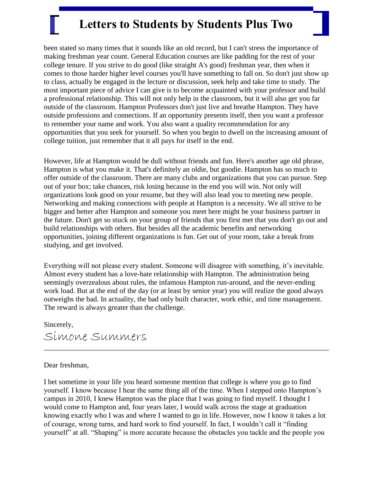been stated so many times that it sounds like an old record, but I can't stress the importance of making freshman year count. General Education courses are like padding for the rest of your college tenure. If you strive to do good (like straight A's good) freshman year, then when it comes to those harder higher level courses you'll have something to fall on. So don't just show up to class, actually be engaged in the lecture or discussion, seek help and take time to study. The most important piece of advice I can give is to become acquainted with your professor and build a professional relationship. This will not only help in the classroom, but it will also get you far outside of the classroom. Hampton Professors don't just live and breathe Hampton. They have outside professions and connections. If an opportunity presents itself, then you want a professor to remember your name and work. You also want a quality recommendation for any opportunities that you seek for yourself. So when you begin to dwell on the increasing amount of college tuition, just remember that it all pays for itself in the end.

However, life at Hampton would be dull without friends and fun. Here's another age old phrase, Hampton is what you make it. That's definitely an oldie, but goodie. Hampton has so much to offer outside of the classroom. There are many clubs and organizations that you can pursue. Step out of your box; take chances, risk losing because in the end you will win. Not only will organizations look good on your resume, but they will also lead you to meeting new people. Networking and making connections with people at Hampton is a necessity. We all strive to be bigger and better after Hampton and someone you meet here might be your business partner in the future. Don't get so stuck on your group of friends that you first met that you don't go out and build relationships with others. But besides all the academic benefits and networking opportunities, joining different organizations is fun. Get out of your room, take a break from studying, and get involved.

Everything will not please every student. Someone will disagree with something, it's inevitable. Almost every student has a love-hate relationship with Hampton. The administration being seemingly overzealous about rules, the infamous Hampton run-around, and the never-ending work load. But at the end of the day (or at least by senior year) you will realize the good always outweighs the bad. In actuality, the bad only built character, work ethic, and time management. The reward is always greater than the challenge.

Sincerely, Simone Summers

#### Dear freshman,

I bet sometime in your life you heard someone mention that college is where you go to find yourself. I know because I hear the same thing all of the time. When I stepped onto Hampton's campus in 2010, I knew Hampton was the place that I was going to find myself. I thought I would come to Hampton and, four years later, I would walk across the stage at graduation knowing exactly who I was and where I wanted to go in life. However, now I know it takes a lot of courage, wrong turns, and hard work to find yourself. In fact, I wouldn't call it "finding" yourself" at all. "Shaping" is more accurate because the obstacles you tackle and the people you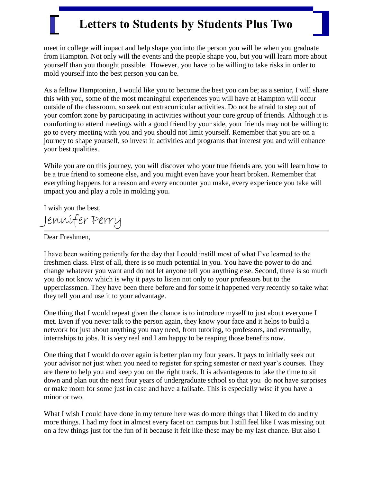meet in college will impact and help shape you into the person you will be when you graduate from Hampton. Not only will the events and the people shape you, but you will learn more about yourself than you thought possible. However, you have to be willing to take risks in order to mold yourself into the best person you can be.

As a fellow Hamptonian, I would like you to become the best you can be; as a senior, I will share this with you, some of the most meaningful experiences you will have at Hampton will occur outside of the classroom, so seek out extracurricular activities. Do not be afraid to step out of your comfort zone by participating in activities without your core group of friends. Although it is comforting to attend meetings with a good friend by your side, your friends may not be willing to go to every meeting with you and you should not limit yourself. Remember that you are on a journey to shape yourself, so invest in activities and programs that interest you and will enhance your best qualities.

While you are on this journey, you will discover who your true friends are, you will learn how to be a true friend to someone else, and you might even have your heart broken. Remember that everything happens for a reason and every encounter you make, every experience you take will impact you and play a role in molding you.

I wish you the best,

Jennifer Perry

Dear Freshmen,

I have been waiting patiently for the day that I could instill most of what I've learned to the freshmen class. First of all, there is so much potential in you. You have the power to do and change whatever you want and do not let anyone tell you anything else. Second, there is so much you do not know which is why it pays to listen not only to your professors but to the upperclassmen. They have been there before and for some it happened very recently so take what they tell you and use it to your advantage.

One thing that I would repeat given the chance is to introduce myself to just about everyone I met. Even if you never talk to the person again, they know your face and it helps to build a network for just about anything you may need, from tutoring, to professors, and eventually, internships to jobs. It is very real and I am happy to be reaping those benefits now.

One thing that I would do over again is better plan my four years. It pays to initially seek out your advisor not just when you need to register for spring semester or next year's courses. They are there to help you and keep you on the right track. It is advantageous to take the time to sit down and plan out the next four years of undergraduate school so that you do not have surprises or make room for some just in case and have a failsafe. This is especially wise if you have a minor or two.

What I wish I could have done in my tenure here was do more things that I liked to do and try more things. I had my foot in almost every facet on campus but I still feel like I was missing out on a few things just for the fun of it because it felt like these may be my last chance. But also I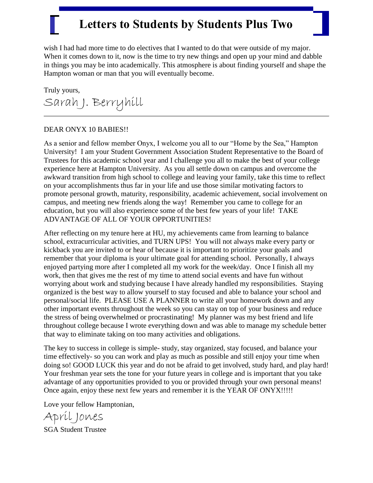wish I had had more time to do electives that I wanted to do that were outside of my major. When it comes down to it, now is the time to try new things and open up your mind and dabble in things you may be into academically. This atmosphere is about finding yourself and shape the Hampton woman or man that you will eventually become.

Truly yours, Sarah J. Berryhill

#### DEAR ONYX 10 BABIES!!

As a senior and fellow member Onyx, I welcome you all to our "Home by the Sea," Hampton University! I am your Student Government Association Student Representative to the Board of Trustees for this academic school year and I challenge you all to make the best of your college experience here at Hampton University. As you all settle down on campus and overcome the awkward transition from high school to college and leaving your family, take this time to reflect on your accomplishments thus far in your life and use those similar motivating factors to promote personal growth, maturity, responsibility, academic achievement, social involvement on campus, and meeting new friends along the way! Remember you came to college for an education, but you will also experience some of the best few years of your life! TAKE ADVANTAGE OF ALL OF YOUR OPPORTUNITIES!

After reflecting on my tenure here at HU, my achievements came from learning to balance school, extracurricular activities, and TURN UPS! You will not always make every party or kickback you are invited to or hear of because it is important to prioritize your goals and remember that your diploma is your ultimate goal for attending school. Personally, I always enjoyed partying more after I completed all my work for the week/day. Once I finish all my work, then that gives me the rest of my time to attend social events and have fun without worrying about work and studying because I have already handled my responsibilities. Staying organized is the best way to allow yourself to stay focused and able to balance your school and personal/social life. PLEASE USE A PLANNER to write all your homework down and any other important events throughout the week so you can stay on top of your business and reduce the stress of being overwhelmed or procrastinating! My planner was my best friend and life throughout college because I wrote everything down and was able to manage my schedule better that way to eliminate taking on too many activities and obligations.

The key to success in college is simple- study, stay organized, stay focused, and balance your time effectively- so you can work and play as much as possible and still enjoy your time when doing so! GOOD LUCK this year and do not be afraid to get involved, study hard, and play hard! Your freshman year sets the tone for your future years in college and is important that you take advantage of any opportunities provided to you or provided through your own personal means! Once again, enjoy these next few years and remember it is the YEAR OF ONYX!!!!!

Love your fellow Hamptonian,

April Jones SGA Student Trustee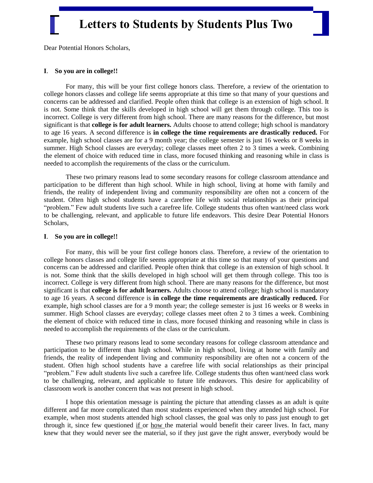Dear Potential Honors Scholars,

#### **I**. **So you are in college!!**

For many, this will be your first college honors class. Therefore, a review of the orientation to college honors classes and college life seems appropriate at this time so that many of your questions and concerns can be addressed and clarified. People often think that college is an extension of high school. It is not. Some think that the skills developed in high school will get them through college. This too is incorrect. College is very different from high school. There are many reasons for the difference, but most significant is that **college is for adult learners.** Adults choose to attend college; high school is mandatory to age 16 years. A second difference is **in college the time requirements are drastically reduced.** For example, high school classes are for a 9 month year; the college semester is just 16 weeks or 8 weeks in summer. High School classes are everyday; college classes meet often 2 to 3 times a week. Combining the element of choice with reduced time in class, more focused thinking and reasoning while in class is needed to accomplish the requirements of the class or the curriculum.

These two primary reasons lead to some secondary reasons for college classroom attendance and participation to be different than high school. While in high school, living at home with family and friends, the reality of independent living and community responsibility are often not a concern of the student. Often high school students have a carefree life with social relationships as their principal "problem." Few adult students live such a carefree life. College students thus often want/need class work to be challenging, relevant, and applicable to future life endeavors. This desire Dear Potential Honors Scholars,

#### **I**. **So you are in college!!**

For many, this will be your first college honors class. Therefore, a review of the orientation to college honors classes and college life seems appropriate at this time so that many of your questions and concerns can be addressed and clarified. People often think that college is an extension of high school. It is not. Some think that the skills developed in high school will get them through college. This too is incorrect. College is very different from high school. There are many reasons for the difference, but most significant is that **college is for adult learners.** Adults choose to attend college; high school is mandatory to age 16 years. A second difference is **in college the time requirements are drastically reduced.** For example, high school classes are for a 9 month year; the college semester is just 16 weeks or 8 weeks in summer. High School classes are everyday; college classes meet often 2 to 3 times a week. Combining the element of choice with reduced time in class, more focused thinking and reasoning while in class is needed to accomplish the requirements of the class or the curriculum.

These two primary reasons lead to some secondary reasons for college classroom attendance and participation to be different than high school. While in high school, living at home with family and friends, the reality of independent living and community responsibility are often not a concern of the student. Often high school students have a carefree life with social relationships as their principal "problem." Few adult students live such a carefree life. College students thus often want/need class work to be challenging, relevant, and applicable to future life endeavors. This desire for applicability of classroom work is another concern that was not present in high school.

I hope this orientation message is painting the picture that attending classes as an adult is quite different and far more complicated than most students experienced when they attended high school. For example, when most students attended high school classes, the goal was only to pass just enough to get through it, since few questioned if or how the material would benefit their career lives. In fact, many knew that they would never see the material, so if they just gave the right answer, everybody would be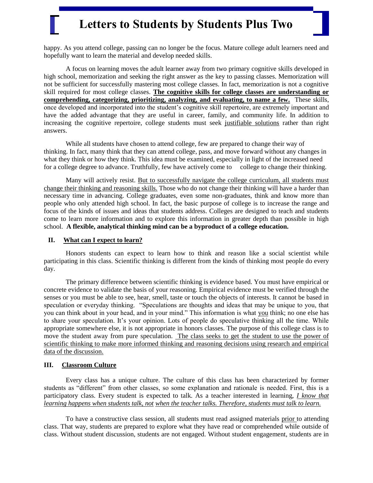happy. As you attend college, passing can no longer be the focus. Mature college adult learners need and hopefully want to learn the material and develop needed skills.

A focus on learning moves the adult learner away from two primary cognitive skills developed in high school, memorization and seeking the right answer as the key to passing classes. Memorization will not be sufficient for successfully mastering most college classes. In fact, memorization is not a cognitive skill required for most college classes. **The cognitive skills for college classes are understanding or comprehending, categorizing, prioritizing, analyzing, and evaluating, to name a few.** These skills, once developed and incorporated into the student's cognitive skill repertoire, are extremely important and have the added advantage that they are useful in career, family, and community life. In addition to increasing the cognitive repertoire, college students must seek justifiable solutions rather than right answers.

While all students have chosen to attend college, few are prepared to change their way of thinking. In fact, many think that they can attend college, pass, and move forward without any changes in what they think or how they think. This idea must be examined, especially in light of the increased need for a college degree to advance. Truthfully, few have actively come to college to change their thinking.

Many will actively resist. But to successfully navigate the college curriculum, all students must change their thinking and reasoning skills. Those who do not change their thinking will have a harder than necessary time in advancing. College graduates, even some non-graduates, think and know more than people who only attended high school. In fact, the basic purpose of college is to increase the range and focus of the kinds of issues and ideas that students address. Colleges are designed to teach and students come to learn more information and to explore this information in greater depth than possible in high school. **A flexible, analytical thinking mind can be a byproduct of a college education.**

#### **II. What can I expect to learn?**

Honors students can expect to learn how to think and reason like a social scientist while participating in this class. Scientific thinking is different from the kinds of thinking most people do every day.

 The primary difference between scientific thinking is evidence based. You must have empirical or concrete evidence to validate the basis of your reasoning. Empirical evidence must be verified through the senses or you must be able to see, hear, smell, taste or touch the objects of interests. It cannot be based in speculation or everyday thinking. "Speculations are thoughts and ideas that may be unique to you, that you can think about in your head, and in your mind." This information is what you think; no one else has to share your speculation. It's your opinion. Lots of people do speculative thinking all the time. While appropriate somewhere else, it is not appropriate in honors classes. The purpose of this college class is to move the student away from pure speculation. The class seeks to get the student to use the power of scientific thinking to make more informed thinking and reasoning decisions using research and empirical data of the discussion.

#### **III. Classroom Culture**

 Every class has a unique culture. The culture of this class has been characterized by former students as "different" from other classes, so some explanation and rationale is needed. First, this is a participatory class. Every student is expected to talk. As a teacher interested in learning, *I know that learning happens when students talk, not when the teacher talks. Therefore, students must talk to learn.*

 To have a constructive class session, all students must read assigned materials prior to attending class. That way, students are prepared to explore what they have read or comprehended while outside of class. Without student discussion, students are not engaged. Without student engagement, students are in